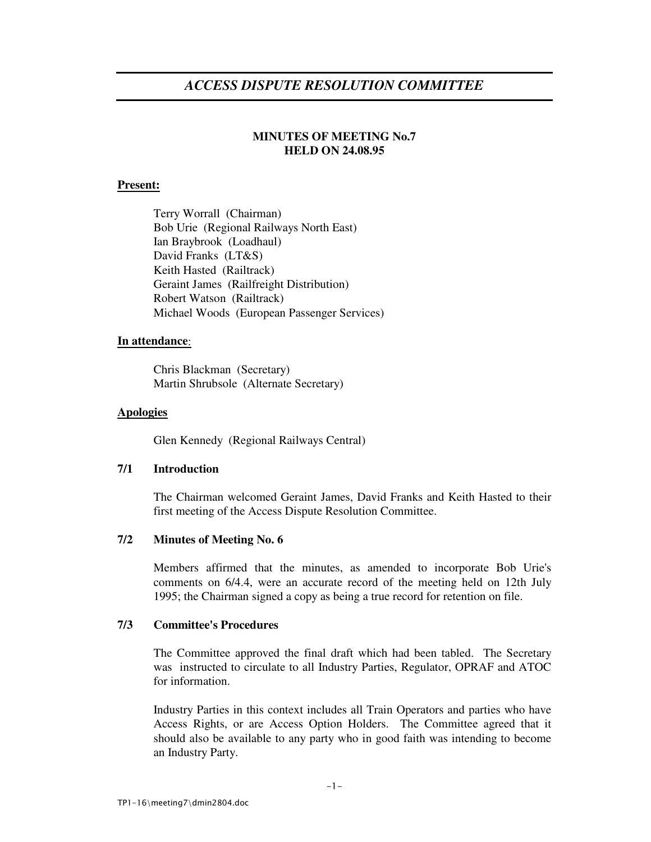# *ACCESS DISPUTE RESOLUTION COMMITTEE*

# **MINUTES OF MEETING No.7 HELD ON 24.08.95**

# **Present:**

Terry Worrall (Chairman) Bob Urie (Regional Railways North East) Ian Braybrook (Loadhaul) David Franks (LT&S) Keith Hasted (Railtrack) Geraint James (Railfreight Distribution) Robert Watson (Railtrack) Michael Woods (European Passenger Services)

# **In attendance**:

Chris Blackman (Secretary) Martin Shrubsole (Alternate Secretary)

# **Apologies**

Glen Kennedy (Regional Railways Central)

# **7/1 Introduction**

The Chairman welcomed Geraint James, David Franks and Keith Hasted to their first meeting of the Access Dispute Resolution Committee.

# **7/2 Minutes of Meeting No. 6**

Members affirmed that the minutes, as amended to incorporate Bob Urie's comments on 6/4.4, were an accurate record of the meeting held on 12th July 1995; the Chairman signed a copy as being a true record for retention on file.

# **7/3 Committee's Procedures**

The Committee approved the final draft which had been tabled. The Secretary was instructed to circulate to all Industry Parties, Regulator, OPRAF and ATOC for information.

Industry Parties in this context includes all Train Operators and parties who have Access Rights, or are Access Option Holders. The Committee agreed that it should also be available to any party who in good faith was intending to become an Industry Party.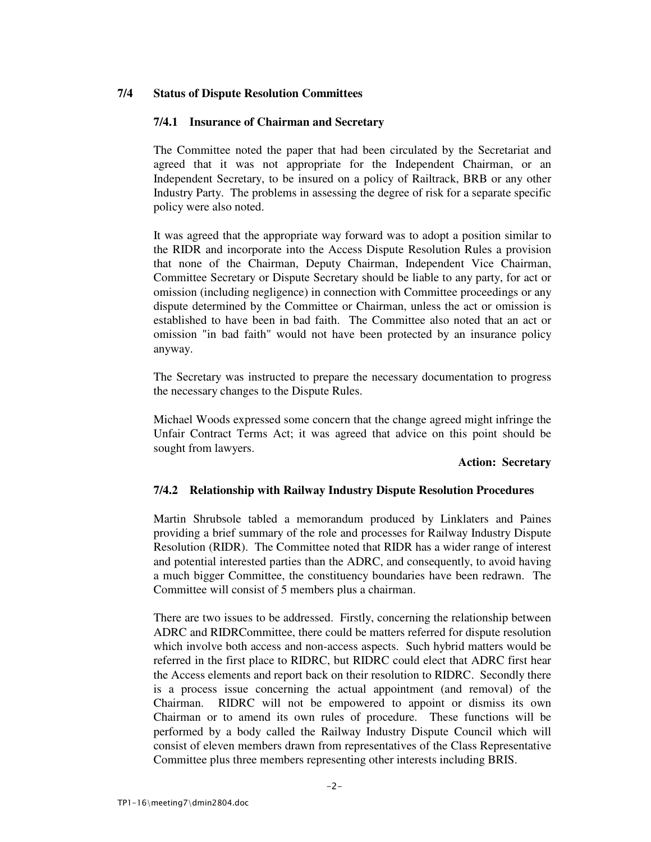# **7/4 Status of Dispute Resolution Committees**

# **7/4.1 Insurance of Chairman and Secretary**

The Committee noted the paper that had been circulated by the Secretariat and agreed that it was not appropriate for the Independent Chairman, or an Independent Secretary, to be insured on a policy of Railtrack, BRB or any other Industry Party. The problems in assessing the degree of risk for a separate specific policy were also noted.

It was agreed that the appropriate way forward was to adopt a position similar to the RIDR and incorporate into the Access Dispute Resolution Rules a provision that none of the Chairman, Deputy Chairman, Independent Vice Chairman, Committee Secretary or Dispute Secretary should be liable to any party, for act or omission (including negligence) in connection with Committee proceedings or any dispute determined by the Committee or Chairman, unless the act or omission is established to have been in bad faith. The Committee also noted that an act or omission "in bad faith" would not have been protected by an insurance policy anyway.

The Secretary was instructed to prepare the necessary documentation to progress the necessary changes to the Dispute Rules.

Michael Woods expressed some concern that the change agreed might infringe the Unfair Contract Terms Act; it was agreed that advice on this point should be sought from lawyers.

#### **Action: Secretary**

# **7/4.2 Relationship with Railway Industry Dispute Resolution Procedures**

Martin Shrubsole tabled a memorandum produced by Linklaters and Paines providing a brief summary of the role and processes for Railway Industry Dispute Resolution (RIDR). The Committee noted that RIDR has a wider range of interest and potential interested parties than the ADRC, and consequently, to avoid having a much bigger Committee, the constituency boundaries have been redrawn. The Committee will consist of 5 members plus a chairman.

There are two issues to be addressed. Firstly, concerning the relationship between ADRC and RIDRCommittee, there could be matters referred for dispute resolution which involve both access and non-access aspects. Such hybrid matters would be referred in the first place to RIDRC, but RIDRC could elect that ADRC first hear the Access elements and report back on their resolution to RIDRC. Secondly there is a process issue concerning the actual appointment (and removal) of the Chairman. RIDRC will not be empowered to appoint or dismiss its own Chairman or to amend its own rules of procedure. These functions will be performed by a body called the Railway Industry Dispute Council which will consist of eleven members drawn from representatives of the Class Representative Committee plus three members representing other interests including BRIS.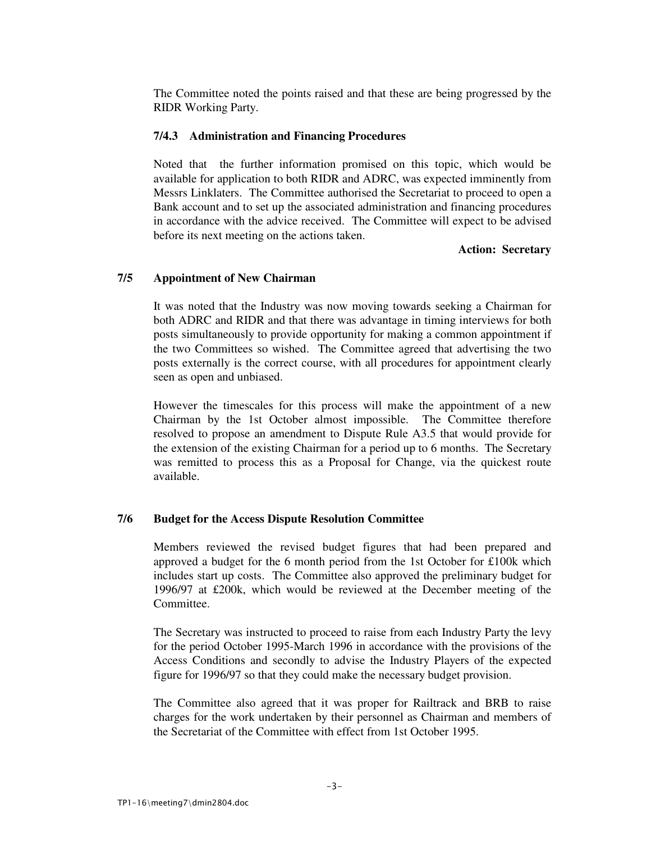The Committee noted the points raised and that these are being progressed by the RIDR Working Party.

### **7/4.3 Administration and Financing Procedures**

Noted that the further information promised on this topic, which would be available for application to both RIDR and ADRC, was expected imminently from Messrs Linklaters. The Committee authorised the Secretariat to proceed to open a Bank account and to set up the associated administration and financing procedures in accordance with the advice received. The Committee will expect to be advised before its next meeting on the actions taken.

#### **Action: Secretary**

# **7/5 Appointment of New Chairman**

It was noted that the Industry was now moving towards seeking a Chairman for both ADRC and RIDR and that there was advantage in timing interviews for both posts simultaneously to provide opportunity for making a common appointment if the two Committees so wished. The Committee agreed that advertising the two posts externally is the correct course, with all procedures for appointment clearly seen as open and unbiased.

However the timescales for this process will make the appointment of a new Chairman by the 1st October almost impossible. The Committee therefore resolved to propose an amendment to Dispute Rule A3.5 that would provide for the extension of the existing Chairman for a period up to 6 months. The Secretary was remitted to process this as a Proposal for Change, via the quickest route available.

#### **7/6 Budget for the Access Dispute Resolution Committee**

Members reviewed the revised budget figures that had been prepared and approved a budget for the 6 month period from the 1st October for £100k which includes start up costs. The Committee also approved the preliminary budget for 1996/97 at £200k, which would be reviewed at the December meeting of the Committee.

The Secretary was instructed to proceed to raise from each Industry Party the levy for the period October 1995-March 1996 in accordance with the provisions of the Access Conditions and secondly to advise the Industry Players of the expected figure for 1996/97 so that they could make the necessary budget provision.

The Committee also agreed that it was proper for Railtrack and BRB to raise charges for the work undertaken by their personnel as Chairman and members of the Secretariat of the Committee with effect from 1st October 1995.